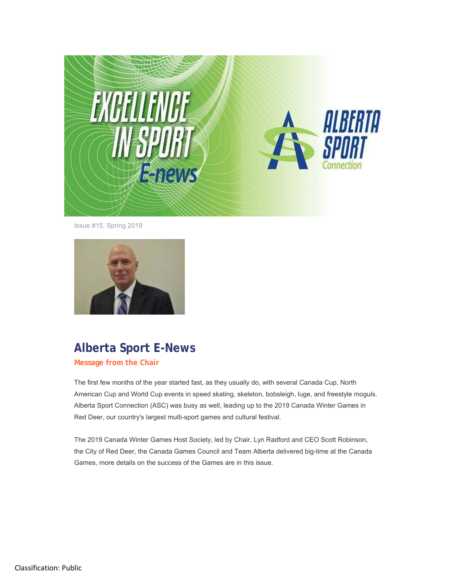

Issue #15, Spring 2019



# **Alberta Sport E-News**

**Message from the Chair**

The first few months of the year started fast, as they usually do, with several Canada Cup, North American Cup and World Cup events in speed skating, skeleton, bobsleigh, luge, and freestyle moguls. Alberta Sport Connection (ASC) was busy as well, leading up to the 2019 Canada Winter Games in Red Deer, our country's largest multi-sport games and cultural festival.

The 2019 Canada Winter Games Host Society, led by Chair, Lyn Radford and CEO Scott Robinson, the City of Red Deer, the Canada Games Council and Team Alberta delivered big-time at the Canada Games, more details on the success of the Games are in this issue.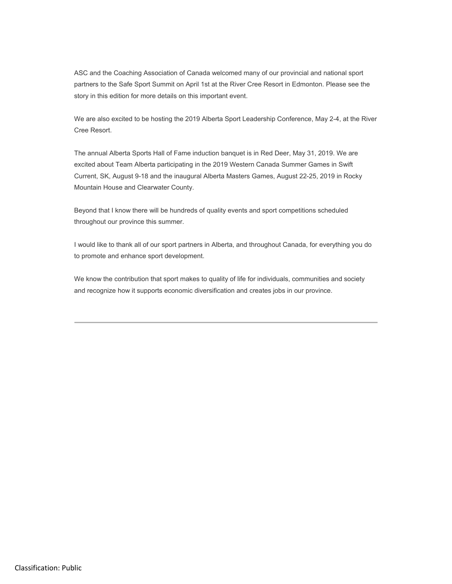ASC and the Coaching Association of Canada welcomed many of our provincial and national sport partners to the Safe Sport Summit on April 1st at the River Cree Resort in Edmonton. Please see the story in this edition for more details on this important event.

We are also excited to be hosting the 2019 Alberta Sport Leadership Conference, May 2-4, at the River Cree Resort.

The annual Alberta Sports Hall of Fame induction banquet is in Red Deer, May 31, 2019. We are excited about Team Alberta participating in the 2019 Western Canada Summer Games in Swift Current, SK, August 9-18 and the inaugural Alberta Masters Games, August 22-25, 2019 in Rocky Mountain House and Clearwater County.

Beyond that I know there will be hundreds of quality events and sport competitions scheduled throughout our province this summer.

I would like to thank all of our sport partners in Alberta, and throughout Canada, for everything you do to promote and enhance sport development.

We know the contribution that sport makes to quality of life for individuals, communities and society and recognize how it supports economic diversification and creates jobs in our province.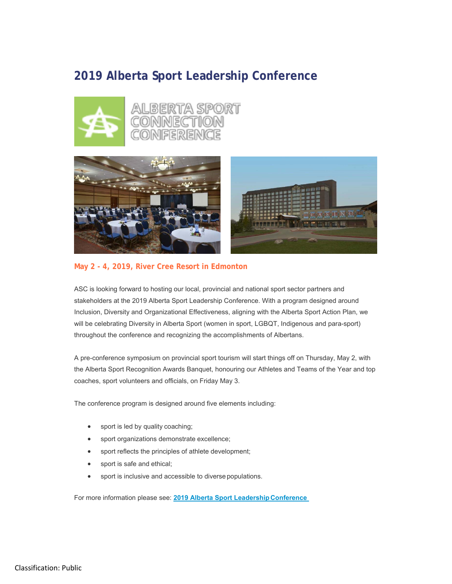#### **2019 Alberta Sport Leadership Conference**





#### **May 2 - 4, 2019, River Cree Resort in Edmonton**

ASC is looking forward to hosting our local, provincial and national sport sector partners and stakeholders at the 2019 Alberta Sport Leadership Conference. With a program designed around Inclusion, Diversity and Organizational Effectiveness, aligning with the Alberta Sport Action Plan, we will be celebrating Diversity in Alberta Sport (women in sport, LGBQT, Indigenous and para-sport) throughout the conference and recognizing the accomplishments of Albertans.

A pre-conference symposium on provincial sport tourism will start things off on Thursday, May 2, with the Alberta Sport Recognition Awards Banquet, honouring our Athletes and Teams of the Year and top coaches, sport volunteers and officials, on Friday May 3.

The conference program is designed around five elements including:

- sport is led by quality coaching;
- sport organizations demonstrate excellence;
- sport reflects the principles of athlete development;
- sport is safe and ethical;
- sport is inclusive and accessible to diverse populations.

For more information please see: **2019 Alberta Sport Leadership Conference**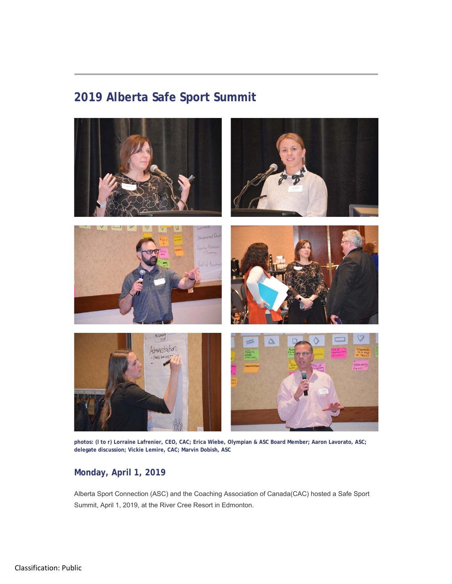# **2019 Alberta Safe Sport Summit**



**photos: (l to r) Lorraine Lafrenier, CEO, CAC; Erica Wiebe, Olympian & ASC Board Member; Aaron Lavorato, ASC; delegate discussion; Vickie Lemire, CAC; Marvin Dobish, ASC**

#### **Monday, April 1, 2019**

Alberta Sport Connection (ASC) and the Coaching Association of Canada(CAC) hosted a Safe Sport Summit, April 1, 2019, at the River Cree Resort in Edmonton.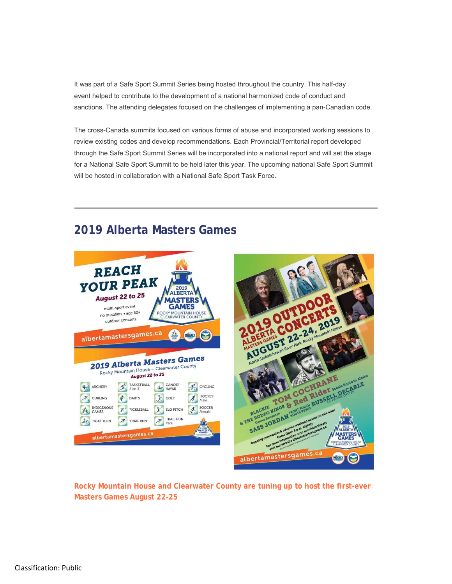It was part of a Safe Sport Summit Series being hosted throughout the country. This half-day event helped to contribute to the development of a national harmonized code of conduct and sanctions. The attending delegates focused on the challenges of implementing a pan-Canadian code.

The cross-Canada summits focused on various forms of abuse and incorporated working sessions to review existing codes and develop recommendations. Each Provincial/Territorial report developed through the Safe Sport Summit Series will be incorporated into a national report and will set the stage for a National Safe Sport Summit to be held later this year. The upcoming national Safe Sport Summit will be hosted in collaboration with a National Safe Sport Task Force.

#### **2019 Alberta Masters Games**



**Rocky Mountain House and Clearwater County are tuning up to host the first-ever Masters Games August 22-25**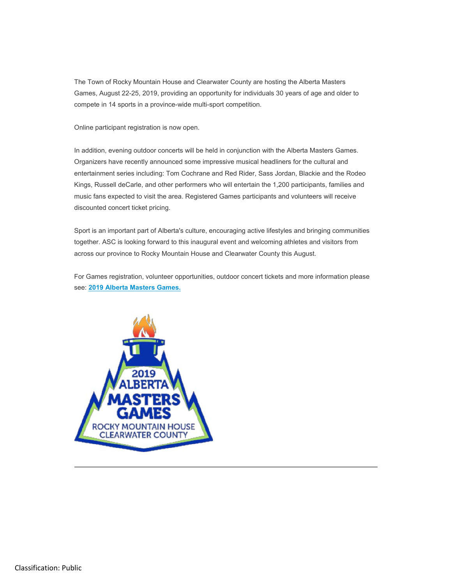The Town of Rocky Mountain House and Clearwater County are hosting the Alberta Masters Games, August 22-25, 2019, providing an opportunity for individuals 30 years of age and older to compete in 14 sports in a province-wide multi-sport competition.

Online participant registration is now open.

In addition, evening outdoor concerts will be held in conjunction with the Alberta Masters Games. Organizers have recently announced some impressive musical headliners for the cultural and entertainment series including: Tom Cochrane and Red Rider, Sass Jordan, Blackie and the Rodeo Kings, Russell deCarle, and other performers who will entertain the 1,200 participants, families and music fans expected to visit the area. Registered Games participants and volunteers will receive discounted concert ticket pricing.

Sport is an important part of Alberta's culture, encouraging active lifestyles and bringing communities together. ASC is looking forward to this inaugural event and welcoming athletes and visitors from across our province to Rocky Mountain House and Clearwater County this August.

For Games registration, volunteer opportunities, outdoor concert tickets and more information please see: **2019 Alberta Masters Games.**

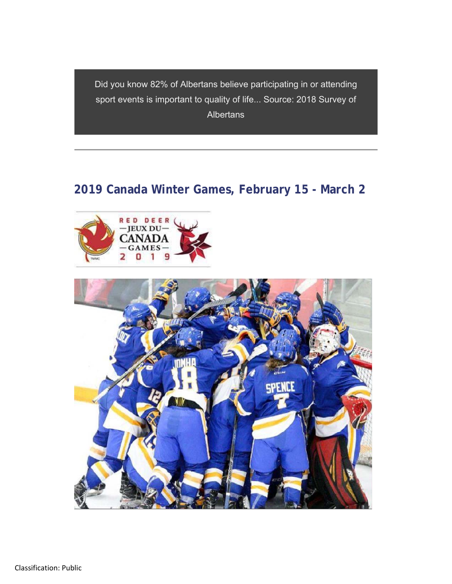Did you know 82% of Albertans believe participating in or attending sport events is important to quality of life... Source: 2018 Survey of **Albertans** 

# **2019 Canada Winter Games, February 15 - March 2**



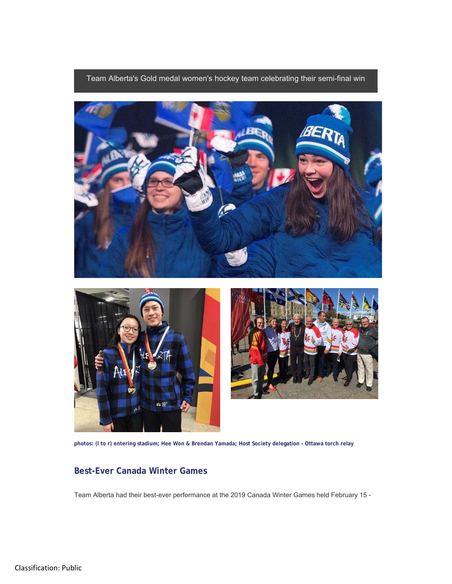Team Alberta's Gold medal women's hockey team celebrating their semi-final win



**photos: (l to r) entering stadium; Hee Won & Brendan Yamada; Host Society delegation - Ottawa torch relay**

#### **Best-Ever Canada Winter Games**

Team Alberta had their best-ever performance at the 2019 Canada Winter Games held February 15 -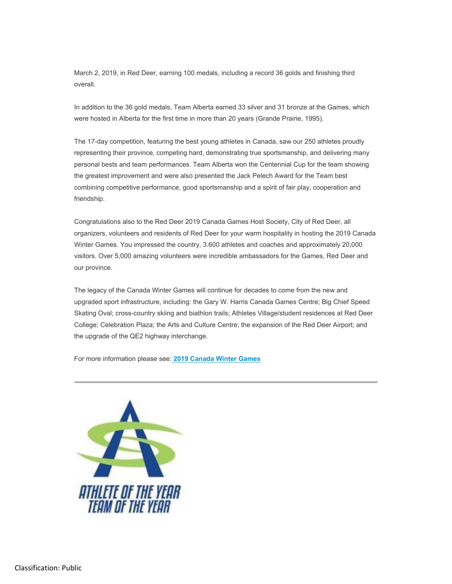March 2, 2019, in Red Deer, earning 100 medals, including a record 36 golds and finishing third overall.

In addition to the 36 gold medals, Team Alberta earned 33 silver and 31 bronze at the Games, which were hosted in Alberta for the first time in more than 20 years (Grande Prairie, 1995).

The 17-day competition, featuring the best young athletes in Canada, saw our 250 athletes proudly representing their province, competing hard, demonstrating true sportsmanship, and delivering many personal bests and team performances. Team Alberta won the Centennial Cup for the team showing the greatest improvement and were also presented the Jack Pelech Award for the Team best combining competitive performance, good sportsmanship and a spirit of fair play, cooperation and friendship.

Congratulations also to the Red Deer 2019 Canada Games Host Society, City of Red Deer, all organizers, volunteers and residents of Red Deer for your warm hospitality in hosting the 2019 Canada Winter Games. You impressed the country, 3.600 athletes and coaches and approximately 20,000 visitors. Over 5,000 amazing volunteers were incredible ambassadors for the Games, Red Deer and our province.

The legacy of the Canada Winter Games will continue for decades to come from the new and upgraded sport infrastructure, including: the Gary W. Harris Canada Games Centre; Big Chief Speed Skating Oval; cross-country skiing and biathlon trails; Athletes Village/student residences at Red Deer College; Celebration Plaza; the Arts and Culture Centre; the expansion of the Red Deer Airport; and the upgrade of the QE2 highway interchange.

For more information please see: **2019 Canada Winter Games**

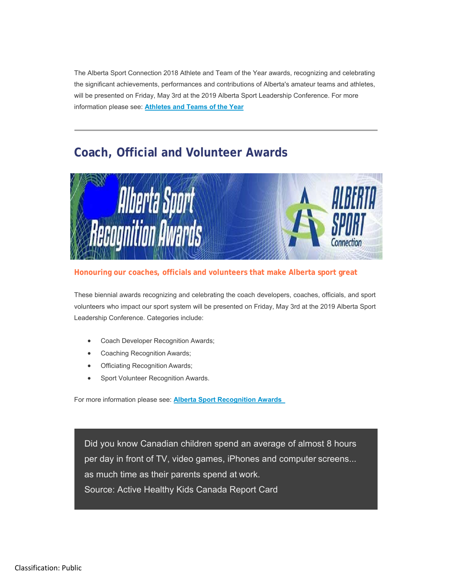The Alberta Sport Connection 2018 Athlete and Team of the Year awards, recognizing and celebrating the significant achievements, performances and contributions of Alberta's amateur teams and athletes, will be presented on Friday, May 3rd at the 2019 Alberta Sport Leadership Conference. For more information please see: **Athletes and Teams of the Year**

### **Coach, Official and Volunteer Awards**



#### **Honouring our coaches, officials and volunteers that make Alberta sport great**

These biennial awards recognizing and celebrating the coach developers, coaches, officials, and sport volunteers who impact our sport system will be presented on Friday, May 3rd at the 2019 Alberta Sport Leadership Conference. Categories include:

- Coach Developer Recognition Awards;
- Coaching Recognition Awards;
- Officiating Recognition Awards;
- Sport Volunteer Recognition Awards.

For more information please see: **Alberta Sport Recognition Awards** 

Did you know Canadian children spend an average of almost 8 hours per day in front of TV, video games, iPhones and computer screens... as much time as their parents spend at work. Source: Active Healthy Kids Canada Report Card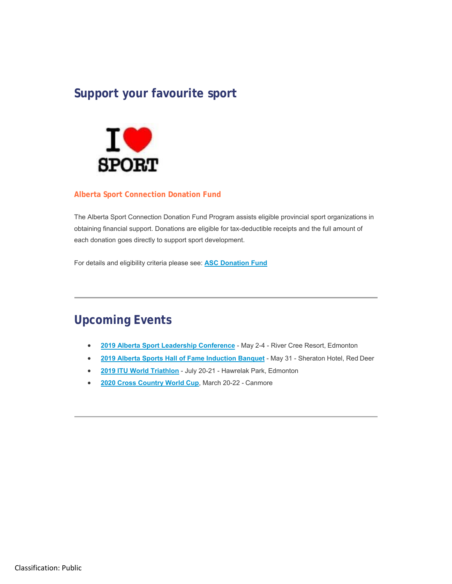### **Support your favourite sport**



#### **Alberta Sport Connection Donation Fund**

The Alberta Sport Connection Donation Fund Program assists eligible provincial sport organizations in obtaining financial support. Donations are eligible for tax-deductible receipts and the full amount of each donation goes directly to support sport development.

For details and eligibility criteria please see: **ASC Donation Fund**

### **Upcoming Events**

- **2019 Alberta Sport Leadership Conference**  May 2-4 River Cree Resort, Edmonton
- **2019 Alberta Sports Hall of Fame Induction Banquet**  May 31 Sheraton Hotel, Red Deer
- **2019 ITU World Triathlon**  July 20-21 Hawrelak Park, Edmonton
- **2020 Cross Country World Cup**, March 20-22 Canmore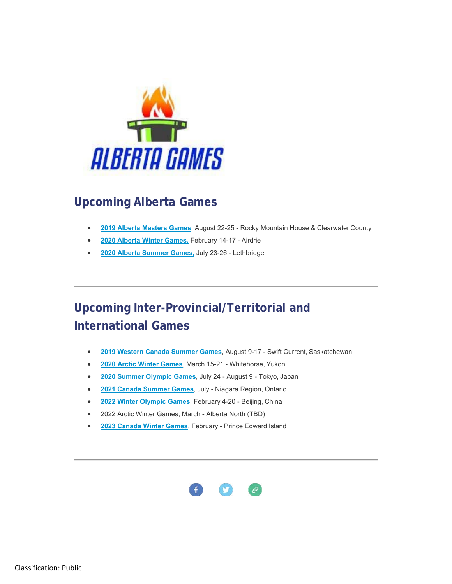

# **Upcoming Alberta Games**

- **2019 Alberta Masters Games**, August 22-25 Rocky Mountain House & Clearwater County
- **2020 Alberta Winter Games,** February 14-17 Airdrie
- **2020 Alberta Summer Games,** July 23-26 Lethbridge

# **Upcoming Inter-Provincial/Territorial and International Games**

- **2019 Western Canada Summer Games**, August 9-17 Swift Current, Saskatchewan
- **2020 Arctic Winter Games**, March 15-21 Whitehorse, Yukon
- **2020 Summer Olympic Games**, July 24 August 9 Tokyo, Japan
- **2021 Canada Summer Games**, July Niagara Region, Ontario
- **2022 Winter Olympic Games**, February 4-20 Beijing, China
- 2022 Arctic Winter Games, March Alberta North (TBD)
- **2023 Canada Winter Games**, February Prince Edward Island